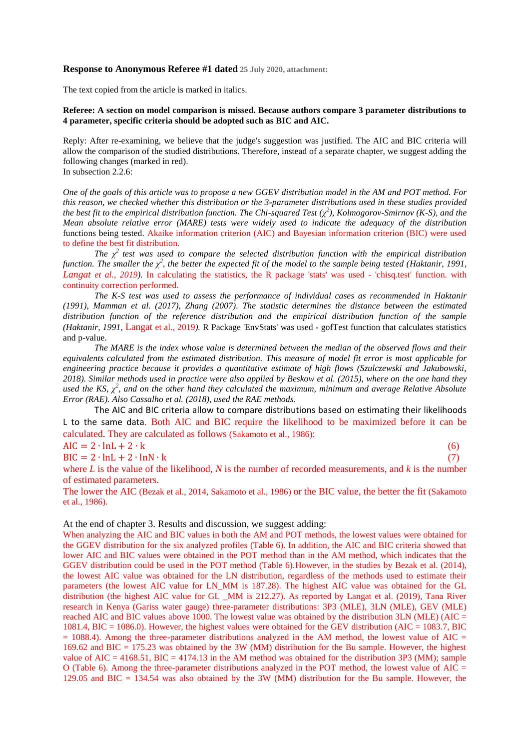## **Response to Anonymous Referee #1 dated 25 July 2020, attachment:**

The text copied from the article is marked in italics.

## **Referee: A section on model comparison is missed. Because authors compare 3 parameter distributions to 4 parameter, specific criteria should be adopted such as BIC and AIC.**

Reply: After re-examining, we believe that the judge's suggestion was justified. The AIC and BIC criteria will allow the comparison of the studied distributions. Therefore, instead of a separate chapter, we suggest adding the following changes (marked in red). In subsection 2.2.6:

*One of the goals of this article was to propose a new GGEV distribution model in the AM and POT method. For this reason, we checked whether this distribution or the 3-parameter distributions used in these studies provided the best fit to the empirical distribution function. The Chi-squared Test (χ 2 ), Kolmogorov-Smirnov (K-S), and the Mean absolute relative error (MARE) tests were widely used to indicate the adequacy of the distribution*  functions being tested. Akaike information criterion (AIC) and Bayesian information criterion (BIC) were used to define the best fit distribution.

*The*  $\chi^2$  test was used to compare the selected distribution function with the empirical distribution *function. The smaller the*  $\chi^2$ , the better the expected fit of the model to the sample being tested (Haktanir, 1991, *Langat et al., 2019).* In calculating the statistics, the R package 'stats' was used - 'chisq.test' function. with continuity correction performed.

*The K-S test was used to assess the performance of individual cases as recommended in Haktanir (1991), Mamman et al. (2017), Zhang (2007). The statistic determines the distance between the estimated distribution function of the reference distribution and the empirical distribution function of the sample (Haktanir, 1991,* Langat et al., 2019*).* R Package 'EnvStats' was used - gofTest function that calculates statistics and p-value.

*The MARE is the index whose value is determined between the median of the observed flows and their equivalents calculated from the estimated distribution. This measure of model fit error is most applicable for engineering practice because it provides a quantitative estimate of high flows (Szulczewski and Jakubowski, 2018). Similar methods used in practice were also applied by Beskow et al. (2015), where on the one hand they*   $u$ sed the KS,  $\chi^2$ , and on the other hand they calculated the maximum, minimum and average Relative Absolute *Error (RAE). Also Cassalho et al. (2018), used the RAE methods.*

The AIC and BIC criteria allow to compare distributions based on estimating their likelihoods L to the same data. Both AIC and BIC require the likelihood to be maximized before it can be calculated. They are calculated as follows (Sakamoto et al., 1986):

 $AIC = 2 \cdot lnL + 2 \cdot k$  (6)

 $BIC = 2 \cdot lnL + 2 \cdot lnN \cdot k$  (7)

where *L* is the value of the likelihood, *N* is the number of recorded measurements, and *k* is the number of estimated parameters.

The lower the AIC (Bezak et al., 2014, Sakamoto et al., 1986) or the BIC value, the better the fit (Sakamoto et al., 1986).

At the end of chapter 3. Results and discussion, we suggest adding:

When analyzing the AIC and BIC values in both the AM and POT methods, the lowest values were obtained for the GGEV distribution for the six analyzed profiles (Table 6). In addition, the AIC and BIC criteria showed that lower AIC and BIC values were obtained in the POT method than in the AM method, which indicates that the GGEV distribution could be used in the POT method (Table 6).However, in the studies by Bezak et al. (2014), the lowest AIC value was obtained for the LN distribution, regardless of the methods used to estimate their parameters (the lowest AIC value for LN\_MM is 187.28). The highest AIC value was obtained for the GL distribution (the highest AIC value for GL \_MM is 212.27). As reported by Langat et al. (2019), Tana River research in Kenya (Gariss water gauge) three-parameter distributions: 3P3 (MLE), 3LN (MLE), GEV (MLE) reached AIC and BIC values above 1000. The lowest value was obtained by the distribution 3LN (MLE) (AIC = 1081.4, BIC = 1086.0). However, the highest values were obtained for the GEV distribution (AIC = 1083.7, BIC  $= 1088.4$ ). Among the three-parameter distributions analyzed in the AM method, the lowest value of AIC  $=$ 169.62 and BIC = 175.23 was obtained by the 3W (MM) distribution for the Bu sample. However, the highest value of  $AIC = 4168.51$ ,  $BIC = 4174.13$  in the AM method was obtained for the distribution 3P3 (MM); sample O (Table 6). Among the three-parameter distributions analyzed in the POT method, the lowest value of AIC  $=$ 129.05 and BIC = 134.54 was also obtained by the 3W (MM) distribution for the Bu sample. However, the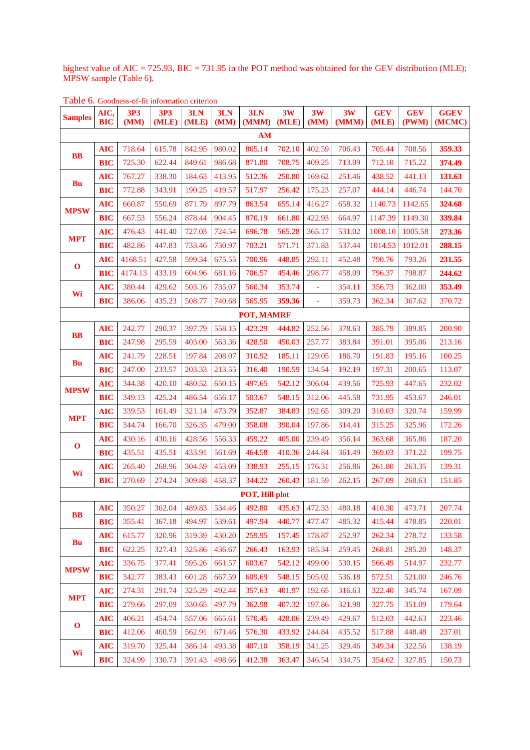highest value of AIC = 725.93, BIC = 731.95 in the POT method was obtained for the GEV distribution (MLE); MPSW sample (Table 6).

| Table 6. Goodness-of-fit information criterion |
|------------------------------------------------|
|------------------------------------------------|

| <b>Samples</b>            | AIC,<br>BIC | <b>3P3</b><br>(MM) | <b>3P3</b><br>(MLE) | 3LN<br>(MLE) | 3LN<br>(MM) | 3LN<br>(MMM) | 3W<br>(MLE) | 3W<br>(MM) | 3W<br>(MMM) | <b>GEV</b><br>(MLE) | <b>GEV</b><br>(PWM) | <b>GGEV</b><br>(MCMC) |
|---------------------------|-------------|--------------------|---------------------|--------------|-------------|--------------|-------------|------------|-------------|---------------------|---------------------|-----------------------|
| AM                        |             |                    |                     |              |             |              |             |            |             |                     |                     |                       |
| <b>BB</b>                 | <b>AIC</b>  | 718.64             | 615.78              | 842.95       | 980.02      | 865.14       | 702.10      | 402.59     | 706.43      | 705.44              | 708.56              | 359.33                |
|                           | <b>BIC</b>  | 725.30             | 622.44              | 849.61       | 986.68      | 871.80       | 708.75      | 409.25     | 713.09      | 712.10              | 715.22              | 374.49                |
| Bu                        | <b>AIC</b>  | 767.27             | 338.30              | 184.63       | 413.95      | 512.36       | 250.80      | 169.62     | 251.46      | 438.52              | 441.13              | 131.63                |
|                           | <b>BIC</b>  | 772.88             | 343.91              | 190.25       | 419.57      | 517.97       | 256.42      | 175.23     | 257.07      | 444.14              | 446.74              | 144.70                |
| <b>MPSW</b>               | <b>AIC</b>  | 660.87             | 550.69              | 871.79       | 897.79      | 863.54       | 655.14      | 416.27     | 658.32      | 1140.73             | 1142.65             | 324.68                |
|                           | <b>BIC</b>  | 667.53             | 556.24              | 878.44       | 904.45      | 870.19       | 661.80      | 422.93     | 664.97      | 1147.39             | 1149.30             | 339.84                |
| <b>MPT</b>                | <b>AIC</b>  | 476.43             | 441.40              | 727.03       | 724.54      | 696.78       | 565.28      | 365.17     | 531.02      | 1008.10             | 1005.58             | 273.36                |
|                           | <b>BIC</b>  | 482.86             | 447.83              | 733.46       | 730.97      | 703.21       | 571.71      | 371.83     | 537.44      | 1014.53             | 1012.01             | 288.15                |
| $\mathbf 0$               | <b>AIC</b>  | 4168.51            | 427.58              | 599.34       | 675.55      | 700.96       | 448.85      | 292.11     | 452.48      | 790.76              | 793.26              | 231.55                |
|                           | <b>BIC</b>  | 4174.13            | 433.19              | 604.96       | 681.16      | 706.57       | 454.46      | 298.77     | 458.09      | 796.37              | 798.87              | 244.62                |
| Wi                        | <b>AIC</b>  | 380.44             | 429.62              | 503.16       | 735.07      | 560.34       | 353.74      |            | 354.11      | 356.73              | 362.00              | 353.49                |
|                           | <b>BIC</b>  | 386.06             | 435.23              | 508.77       | 740.68      | 565.95       | 359.36      | $\Box$     | 359.73      | 362.34              | 367.62              | 370.72                |
| POT, MAMRF                |             |                    |                     |              |             |              |             |            |             |                     |                     |                       |
| <b>BB</b>                 | <b>AIC</b>  | 242.77             | 290.37              | 397.79       | 558.15      | 423.29       | 444.82      | 252.56     | 378.63      | 385.79              | 389.85              | 200.90                |
|                           | <b>BIC</b>  | 247.98             | 295.59              | 403.00       | 563.36      | 428.50       | 450.03      | 257.77     | 383.84      | 391.01              | 395.06              | 213.16                |
| Bu                        | <b>AIC</b>  | 241.79             | 228.51              | 197.84       | 208.07      | 310.92       | 185.11      | 129.05     | 186.70      | 191.83              | 195.16              | 100.25                |
|                           | <b>BIC</b>  | 247.00             | 233.57              | 203.33       | 213.55      | 316.40       | 190.59      | 134.54     | 192.19      | 197.31              | 200.65              | 113.07                |
| <b>MPSW</b>               | <b>AIC</b>  | 344.38             | 420.10              | 480.52       | 650.15      | 497.65       | 542.12      | 306.04     | 439.56      | 725.93              | 447.65              | 232.02                |
|                           | <b>BIC</b>  | 349.13             | 425.24              | 486.54       | 656.17      | 503.67       | 548.15      | 312.06     | 445.58      | 731.95              | 453.67              | 246.01                |
| <b>MPT</b>                | <b>AIC</b>  | 339.53             | 161.49              | 321.14       | 473.79      | 352.87       | 384.83      | 192.65     | 309.20      | 310.03              | 320.74              | 159.99                |
|                           | <b>BIC</b>  | 344.74             | 166.70              | 326.35       | 479.00      | 358.08       | 390.04      | 197.86     | 314.41      | 315.25              | 325.96              | 172.26                |
| $\mathbf 0$               | <b>AIC</b>  | 430.16             | 430.16              | 428.56       | 556.33      | 459.22       | 405.00      | 239.49     | 356.14      | 363.68              | 365.86              | 187.20                |
|                           | <b>BIC</b>  | 435.51             | 435.51              | 433.91       | 561.69      | 464.58       | 410.36      | 244.84     | 361.49      | 369.03              | 371.22              | 199.75                |
| Wi                        | <b>AIC</b>  | 265.40             | 268.96              | 304.59       | 453.09      | 338.93       | 255.15      | 176.31     | 256.86      | 261.80              | 263.35              | 139.31                |
|                           | <b>BIC</b>  | 270.69             | 274.24              | 309.88       | 458.37      | 344.22       | 260.43      | 181.59     | 262.15      | 267.09              | 268.63              | 151.85                |
| POT, Hill plot            |             |                    |                     |              |             |              |             |            |             |                     |                     |                       |
| <b>BB</b>                 | <b>AIC</b>  | 350.27             | 362.04              | 489.83       | 534.46      | 492.80       | 435.63      | 472.33     | 480.18      | 410.30              | 473.71              | 207.74                |
|                           | <b>BIC</b>  | 355.41             | 367.18              | 494.97       | 539.61      | 497.94       | 440.77      | 477.47     | 485.32      | 415.44              | 478.85              | 220.01                |
| Bu                        | <b>AIC</b>  | 615.77             | 320.96              | 319.39       | 430.20      | 259.95       | 157.45      | 178.87     | 252.97      | 262.34              | 278.72              | 133.58                |
|                           | <b>BIC</b>  | 622.25             | 327.43              | 325.86       | 436.67      | 266.43       | 163.93      | 185.34     | 259.45      | 268.81              | 285.20              | 148.37                |
| <b>MPSW</b>               | <b>AIC</b>  | 336.75             | 377.41              | 595.26       | 661.57      | 603.67       | 542.12      | 499.00     | 530.15      | 566.49              | 514.97              | 232.77                |
|                           | <b>BIC</b>  | 342.77             | 383.43              | 601.28       | 667.59      | 609.69       | 548.15      | 505.02     | 536.18      | 572.51              | 521.00              | 246.76                |
| <b>MPT</b><br>$\mathbf 0$ | <b>AIC</b>  | 274.31             | 291.74              | 325.29       | 492.44      | 357.63       | 401.97      | 192.65     | 316.63      | 322.40              | 345.74              | 167.09                |
|                           | <b>BIC</b>  | 279.66             | 297.09              | 330.65       | 497.79      | 362.98       | 407.32      | 197.86     | 321.98      | 327.75              | 351.09              | 179.64                |
|                           | <b>AIC</b>  | 406.21             | 454.74              | 557.06       | 665.61      | 570.45       | 428.06      | 239.49     | 429.67      | 512.03              | 442.63              | 223.46                |
|                           | <b>BIC</b>  | 412.06             | 460.59              | 562.91       | 671.46      | 576.30       | 433.92      | 244.84     | 435.52      | 517.88              | 448.48              | 237.01                |
| Wi                        | <b>AIC</b>  | 319.70             | 325.44              | 386.14       | 493.38      | 407.10       | 358.19      | 341.25     | 329.46      | 349.34              | 322.56              | 138.19                |
|                           | <b>BIC</b>  | 324.99             | 330.73              | 391.43       | 498.66      | 412.38       | 363.47      | 346.54     | 334.75      | 354.62              | 327.85              | 150.73                |